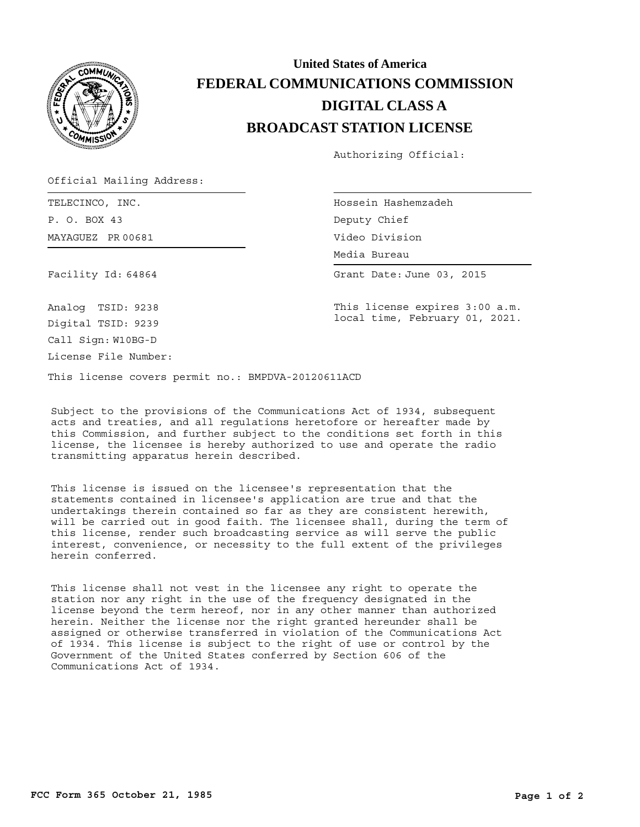

## **BROADCAST STATION LICENSE DIGITAL CLASS A FEDERAL COMMUNICATIONS COMMISSION United States of America**

Authorizing Official:

Official Mailing Address:

MAYAGUEZ PR 00681 TELECINCO, INC. P. O. BOX 43

Hossein Hashemzadeh Deputy Chief Video Division

Media Bureau Media Bureau

Grant Date: June 03, 2015

Facility Id: 64864

This license expires 3:00 a.m. local time, February 01, 2021.

Analog TSID: 9238 Digital TSID: 9239

Call Sign: W10BG-D License File Number:

This license covers permit no.: BMPDVA-20120611ACD

Subject to the provisions of the Communications Act of 1934, subsequent acts and treaties, and all regulations heretofore or hereafter made by this Commission, and further subject to the conditions set forth in this license, the licensee is hereby authorized to use and operate the radio transmitting apparatus herein described.

This license is issued on the licensee's representation that the statements contained in licensee's application are true and that the undertakings therein contained so far as they are consistent herewith, will be carried out in good faith. The licensee shall, during the term of this license, render such broadcasting service as will serve the public interest, convenience, or necessity to the full extent of the privileges herein conferred.

This license shall not vest in the licensee any right to operate the station nor any right in the use of the frequency designated in the license beyond the term hereof, nor in any other manner than authorized herein. Neither the license nor the right granted hereunder shall be assigned or otherwise transferred in violation of the Communications Act of 1934. This license is subject to the right of use or control by the Government of the United States conferred by Section 606 of the Communications Act of 1934.